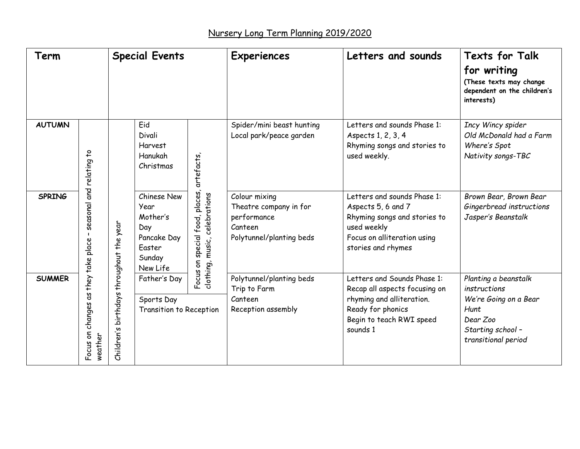| Term          |                                                | <b>Special Events</b>                       |                                                                                       |                                                                                       | <b>Experiences</b>                                                                            | Letters and sounds                                                                                                                                     | <b>Texts for Talk</b>                                                                                                         |
|---------------|------------------------------------------------|---------------------------------------------|---------------------------------------------------------------------------------------|---------------------------------------------------------------------------------------|-----------------------------------------------------------------------------------------------|--------------------------------------------------------------------------------------------------------------------------------------------------------|-------------------------------------------------------------------------------------------------------------------------------|
|               |                                                |                                             |                                                                                       |                                                                                       |                                                                                               |                                                                                                                                                        | for writing<br>(These texts may change<br>dependent on the children's<br>interests)                                           |
| <b>AUTUMN</b> |                                                |                                             | Eid<br>Divali<br>Harvest<br>Hanukah<br>Christmas                                      | artefacts,                                                                            | Spider/mini beast hunting<br>Local park/peace garden                                          | Letters and sounds Phase 1:<br>Aspects 1, 2, 3, 4<br>Rhyming songs and stories to<br>used weekly.                                                      | Incy Wincy spider<br>Old McDonald had a Farm<br>Where's Spot<br>Nativity songs-TBC                                            |
| <b>SPRING</b> | seasonal and relating to<br>$\mathbf{I}$       | birthdays throughout the year<br>Children's | Chinese New<br>Year<br>Mother's<br>Day<br>Pancake Day<br>Easter<br>Sunday<br>New Life | special food, places,<br>clothing, music, celebrations<br>$\frac{c}{\delta}$<br>Focus | Colour mixing<br>Theatre company in for<br>performance<br>Canteen<br>Polytunnel/planting beds | Letters and sounds Phase 1:<br>Aspects 5, 6 and 7<br>Rhyming songs and stories to<br>used weekly<br>Focus on alliteration using<br>stories and rhymes  | Brown Bear, Brown Bear<br>Gingerbread instructions<br>Jasper's Beanstalk                                                      |
| <b>SUMMER</b> | Focus on changes as they take place<br>weather |                                             | Father's Day<br>Sports Day<br>Transition to Reception                                 |                                                                                       | Polytunnel/planting beds<br>Trip to Farm<br>Canteen<br>Reception assembly                     | Letters and Sounds Phase 1:<br>Recap all aspects focusing on<br>rhyming and alliteration.<br>Ready for phonics<br>Begin to teach RWI speed<br>sounds 1 | Planting a beanstalk<br>instructions<br>We're Going on a Bear<br>Hunt<br>Dear Zoo<br>Starting school -<br>transitional period |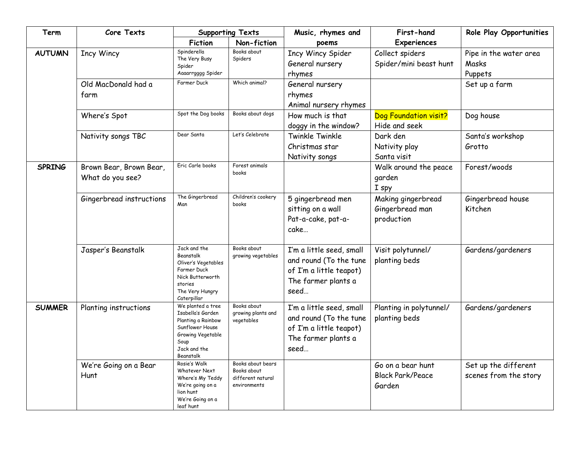| Term          | Core Texts                                  | <b>Supporting Texts</b>                                                                                                                   |                                                                       | Music, rhymes and                                                                                            | First-hand                                             | Role Play Opportunities                       |
|---------------|---------------------------------------------|-------------------------------------------------------------------------------------------------------------------------------------------|-----------------------------------------------------------------------|--------------------------------------------------------------------------------------------------------------|--------------------------------------------------------|-----------------------------------------------|
|               |                                             | <b>Fiction</b>                                                                                                                            | Non-fiction                                                           | poems                                                                                                        | <b>Experiences</b>                                     |                                               |
| <b>AUTUMN</b> | <b>Incy Wincy</b>                           | Spinderella<br>The Very Busy<br>Spider<br>Aaaarrgggg Spider                                                                               | Books about<br>Spiders                                                | <b>Incy Wincy Spider</b><br>General nursery<br>rhymes                                                        | Collect spiders<br>Spider/mini beast hunt              | Pipe in the water area<br>Masks<br>Puppets    |
|               | Old MacDonald had a<br>farm                 | Farmer Duck                                                                                                                               | Which animal?                                                         | General nursery<br>rhymes<br>Animal nursery rhymes                                                           |                                                        | Set up a farm                                 |
|               | Where's Spot                                | Spot the Dog books                                                                                                                        | Books about dogs                                                      | How much is that<br>doggy in the window?                                                                     | Dog Foundation visit?<br>Hide and seek                 | Dog house                                     |
|               | Nativity songs TBC                          | Dear Santa                                                                                                                                | Let's Celebrate                                                       | Twinkle Twinkle<br>Christmas star<br>Nativity songs                                                          | Dark den<br>Nativity play<br>Santa visit               | Santa's workshop<br>Grotto                    |
| <b>SPRING</b> | Brown Bear, Brown Bear,<br>What do you see? | Eric Carle books                                                                                                                          | Forest animals<br>books                                               |                                                                                                              | Walk around the peace<br>garden<br>I spy               | Forest/woods                                  |
|               | Gingerbread instructions                    | The Gingerbread<br>Man                                                                                                                    | Children's cookery<br>books                                           | 5 gingerbread men<br>sitting on a wall<br>Pat-a-cake, pat-a-<br>cake                                         | Making gingerbread<br>Gingerbread man<br>production    | Gingerbread house<br>Kitchen                  |
|               | Jasper's Beanstalk                          | Jack and the<br>Beanstalk<br>Oliver's Vegetables<br>Farmer Duck<br>Nick Butterworth<br>stories<br>The Very Hungry<br>Caterpillar          | Books about<br>growing vegetables                                     | I'm a little seed, small<br>and round (To the tune<br>of I'm a little teapot)<br>The farmer plants a<br>seed | Visit polytunnel/<br>planting beds                     | Gardens/gardeners                             |
| <b>SUMMER</b> | Planting instructions                       | We planted a tree<br>Isabella's Garden<br>Planting a Rainbow<br>Sunflower House<br>Growing Vegetable<br>Soup<br>Jack and the<br>Beanstalk | Books about<br>growing plants and<br>vegetables                       | I'm a little seed, small<br>and round (To the tune<br>of I'm a little teapot)<br>The farmer plants a<br>seed | Planting in polytunnel/<br>planting beds               | Gardens/gardeners                             |
|               | We're Going on a Bear<br>Hunt               | Rosie's Walk<br>Whatever Next<br>Where's My Teddy<br>We're going on a<br>lion hunt<br>We're Going on a<br>leaf hunt                       | Books about bears<br>Books about<br>different natural<br>environments |                                                                                                              | Go on a bear hunt<br><b>Black Park/Peace</b><br>Garden | Set up the different<br>scenes from the story |